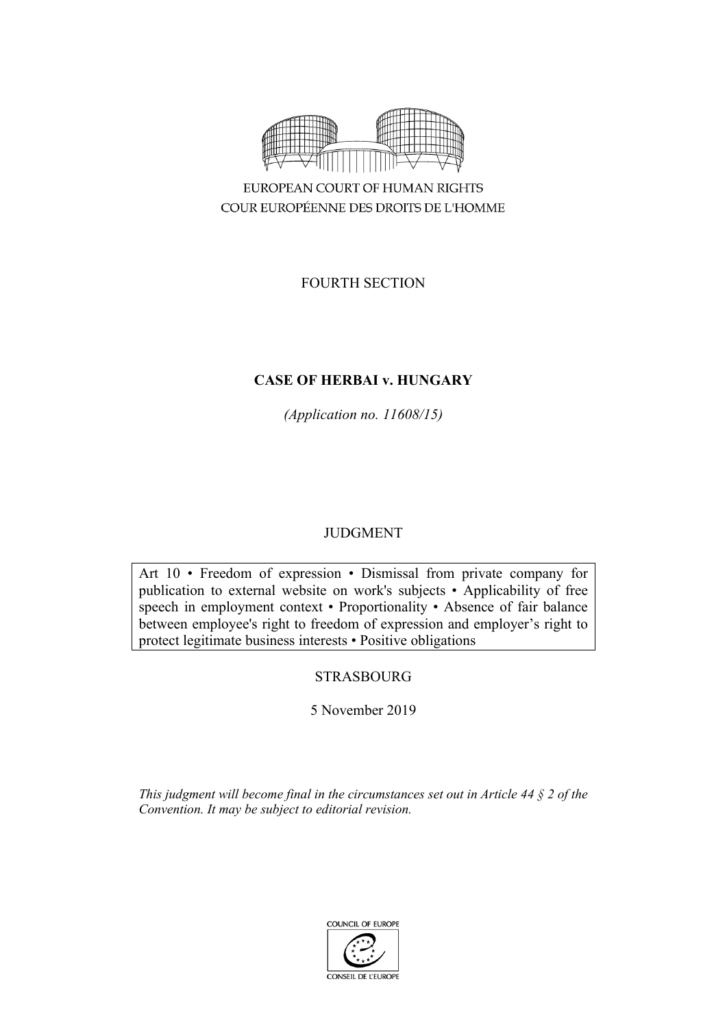

COUR EUROPÉENNE DES DROITS DE L'HOMME

FOURTH SECTION

# **CASE OF HERBAI v. HUNGARY**

*(Application no. 11608/15)*

# JUDGMENT

Art 10 • Freedom of expression • Dismissal from private company for publication to external website on work's subjects • Applicability of free speech in employment context • Proportionality • Absence of fair balance between employee's right to freedom of expression and employer's right to protect legitimate business interests • Positive obligations

# STRASBOURG

5 November 2019

*This judgment will become final in the circumstances set out in Article 44 § 2 of the Convention. It may be subject to editorial revision.*

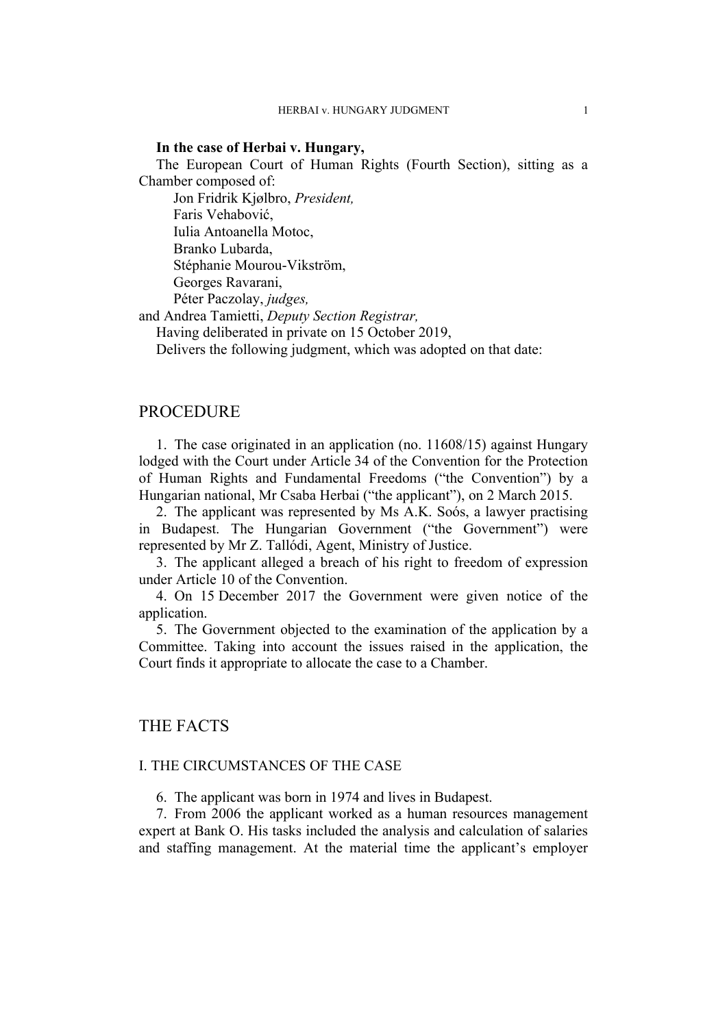## **In the case of Herbai v. Hungary,**

The European Court of Human Rights (Fourth Section), sitting as a Chamber composed of:

Jon Fridrik Kjølbro, *President,* Faris Vehabović, Iulia Antoanella Motoc, Branko Lubarda, Stéphanie Mourou-Vikström, Georges Ravarani, Péter Paczolay, *judges,*

and Andrea Tamietti, *Deputy Section Registrar,*

Having deliberated in private on 15 October 2019,

Delivers the following judgment, which was adopted on that date:

## **PROCEDURE**

1. The case originated in an application (no. 11608/15) against Hungary lodged with the Court under Article 34 of the Convention for the Protection of Human Rights and Fundamental Freedoms ("the Convention") by a Hungarian national, Mr Csaba Herbai ("the applicant"), on 2 March 2015.

2. The applicant was represented by Ms A.K. Soós, a lawyer practising in Budapest. The Hungarian Government ("the Government") were represented by Mr Z. Tallódi, Agent, Ministry of Justice.

3. The applicant alleged a breach of his right to freedom of expression under Article 10 of the Convention.

4. On 15 December 2017 the Government were given notice of the application.

5. The Government objected to the examination of the application by a Committee. Taking into account the issues raised in the application, the Court finds it appropriate to allocate the case to a Chamber.

## THE FACTS

## I. THE CIRCUMSTANCES OF THE CASE

6. The applicant was born in 1974 and lives in Budapest.

7. From 2006 the applicant worked as a human resources management expert at Bank O. His tasks included the analysis and calculation of salaries and staffing management. At the material time the applicant's employer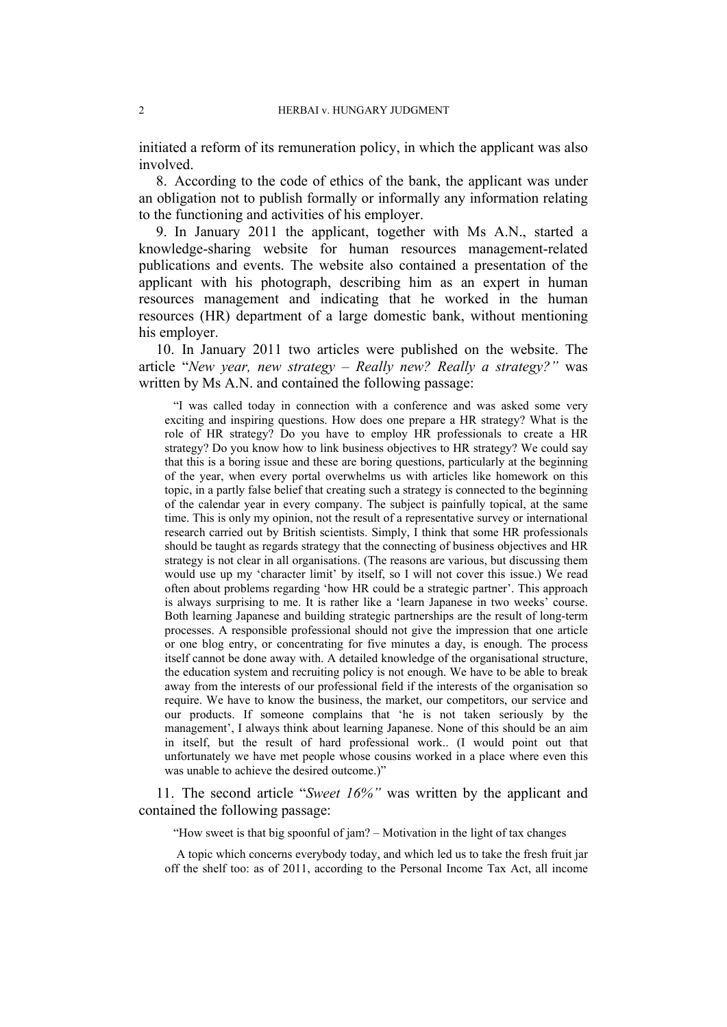initiated a reform of its remuneration policy, in which the applicant was also involved.

8. According to the code of ethics of the bank, the applicant was under an obligation not to publish formally or informally any information relating to the functioning and activities of his employer.

9. In January 2011 the applicant, together with Ms A.N., started a knowledge-sharing website for human resources management-related publications and events. The website also contained a presentation of the applicant with his photograph, describing him as an expert in human resources management and indicating that he worked in the human resources (HR) department of a large domestic bank, without mentioning his employer.

10. In January 2011 two articles were published on the website. The article "*New year, new strategy – Really new? Really a strategy?"* was written by Ms A.N. and contained the following passage:

"I was called today in connection with a conference and was asked some very exciting and inspiring questions. How does one prepare a HR strategy? What is the role of HR strategy? Do you have to employ HR professionals to create a HR strategy? Do you know how to link business objectives to HR strategy? We could say that this is a boring issue and these are boring questions, particularly at the beginning of the year, when every portal overwhelms us with articles like homework on this topic, in a partly false belief that creating such a strategy is connected to the beginning of the calendar year in every company. The subject is painfully topical, at the same time. This is only my opinion, not the result of a representative survey or international research carried out by British scientists. Simply, I think that some HR professionals should be taught as regards strategy that the connecting of business objectives and HR strategy is not clear in all organisations. (The reasons are various, but discussing them would use up my 'character limit' by itself, so I will not cover this issue.) We read often about problems regarding 'how HR could be a strategic partner'. This approach is always surprising to me. It is rather like a 'learn Japanese in two weeks' course. Both learning Japanese and building strategic partnerships are the result of long-term processes. A responsible professional should not give the impression that one article or one blog entry, or concentrating for five minutes a day, is enough. The process itself cannot be done away with. A detailed knowledge of the organisational structure, the education system and recruiting policy is not enough. We have to be able to break away from the interests of our professional field if the interests of the organisation so require. We have to know the business, the market, our competitors, our service and our products. If someone complains that 'he is not taken seriously by the management', I always think about learning Japanese. None of this should be an aim in itself, but the result of hard professional work.. (I would point out that unfortunately we have met people whose cousins worked in a place where even this was unable to achieve the desired outcome.)"

11. The second article "*Sweet 16%"* was written by the applicant and contained the following passage:

"How sweet is that big spoonful of jam? – Motivation in the light of tax changes

A topic which concerns everybody today, and which led us to take the fresh fruit jar off the shelf too: as of 2011, according to the Personal Income Tax Act, all income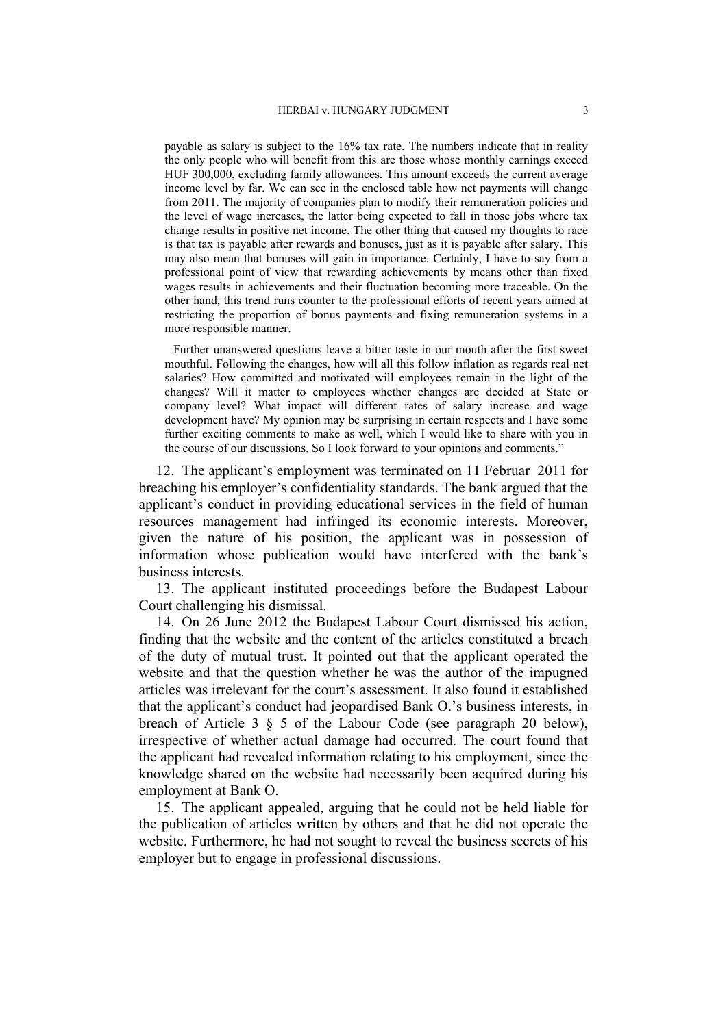payable as salary is subject to the 16% tax rate. The numbers indicate that in reality the only people who will benefit from this are those whose monthly earnings exceed HUF 300,000, excluding family allowances. This amount exceeds the current average income level by far. We can see in the enclosed table how net payments will change from 2011. The majority of companies plan to modify their remuneration policies and the level of wage increases, the latter being expected to fall in those jobs where tax change results in positive net income. The other thing that caused my thoughts to race is that tax is payable after rewards and bonuses, just as it is payable after salary. This may also mean that bonuses will gain in importance. Certainly, I have to say from a professional point of view that rewarding achievements by means other than fixed wages results in achievements and their fluctuation becoming more traceable. On the other hand, this trend runs counter to the professional efforts of recent years aimed at restricting the proportion of bonus payments and fixing remuneration systems in a more responsible manner.

Further unanswered questions leave a bitter taste in our mouth after the first sweet mouthful. Following the changes, how will all this follow inflation as regards real net salaries? How committed and motivated will employees remain in the light of the changes? Will it matter to employees whether changes are decided at State or company level? What impact will different rates of salary increase and wage development have? My opinion may be surprising in certain respects and I have some further exciting comments to make as well, which I would like to share with you in the course of our discussions. So I look forward to your opinions and comments."

12. The applicant's employment was terminated on 11 Februar 2011 for breaching his employer's confidentiality standards. The bank argued that the applicant's conduct in providing educational services in the field of human resources management had infringed its economic interests. Moreover, given the nature of his position, the applicant was in possession of information whose publication would have interfered with the bank's business interests.

13. The applicant instituted proceedings before the Budapest Labour Court challenging his dismissal.

14. On 26 June 2012 the Budapest Labour Court dismissed his action, finding that the website and the content of the articles constituted a breach of the duty of mutual trust. It pointed out that the applicant operated the website and that the question whether he was the author of the impugned articles was irrelevant for the court's assessment. It also found it established that the applicant's conduct had jeopardised Bank O.'s business interests, in breach of Article 3 § 5 of the Labour Code (see paragraph 20 below), irrespective of whether actual damage had occurred. The court found that the applicant had revealed information relating to his employment, since the knowledge shared on the website had necessarily been acquired during his employment at Bank O.

15. The applicant appealed, arguing that he could not be held liable for the publication of articles written by others and that he did not operate the website. Furthermore, he had not sought to reveal the business secrets of his employer but to engage in professional discussions.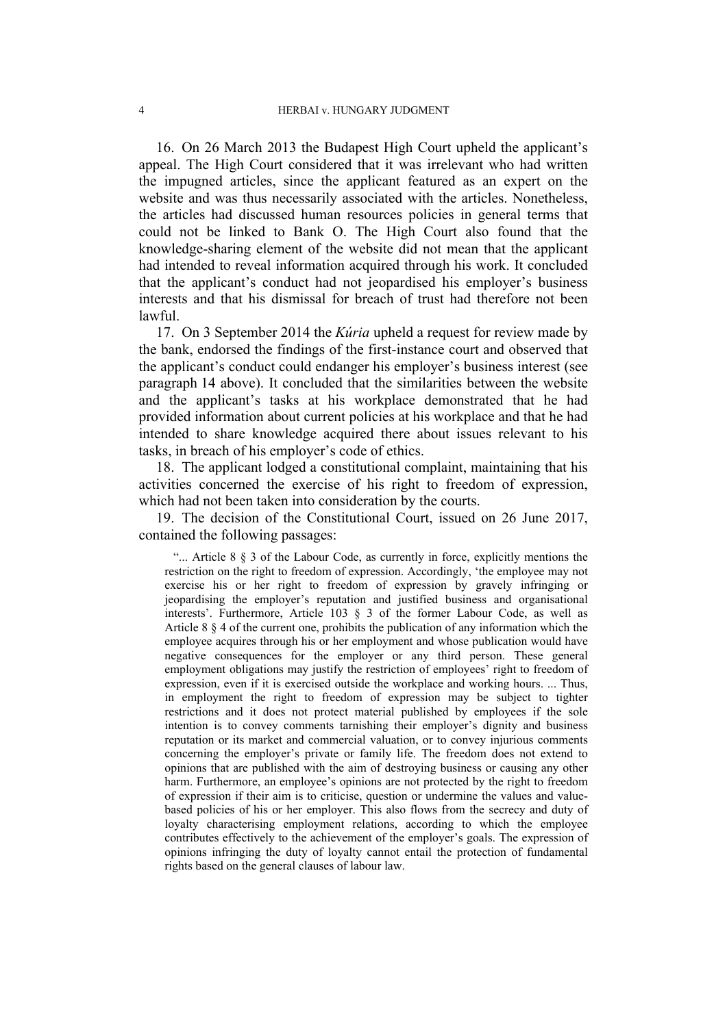16. On 26 March 2013 the Budapest High Court upheld the applicant's appeal. The High Court considered that it was irrelevant who had written the impugned articles, since the applicant featured as an expert on the website and was thus necessarily associated with the articles. Nonetheless, the articles had discussed human resources policies in general terms that could not be linked to Bank O. The High Court also found that the knowledge-sharing element of the website did not mean that the applicant had intended to reveal information acquired through his work. It concluded that the applicant's conduct had not jeopardised his employer's business interests and that his dismissal for breach of trust had therefore not been lawful.

17. On 3 September 2014 the *Kúria* upheld a request for review made by the bank, endorsed the findings of the first-instance court and observed that the applicant's conduct could endanger his employer's business interest (see paragraph 14 above). It concluded that the similarities between the website and the applicant's tasks at his workplace demonstrated that he had provided information about current policies at his workplace and that he had intended to share knowledge acquired there about issues relevant to his tasks, in breach of his employer's code of ethics.

18. The applicant lodged a constitutional complaint, maintaining that his activities concerned the exercise of his right to freedom of expression, which had not been taken into consideration by the courts.

19. The decision of the Constitutional Court, issued on 26 June 2017, contained the following passages:

"... Article 8 § 3 of the Labour Code, as currently in force, explicitly mentions the restriction on the right to freedom of expression. Accordingly, 'the employee may not exercise his or her right to freedom of expression by gravely infringing or jeopardising the employer's reputation and justified business and organisational interests'. Furthermore, Article 103 § 3 of the former Labour Code, as well as Article 8 § 4 of the current one, prohibits the publication of any information which the employee acquires through his or her employment and whose publication would have negative consequences for the employer or any third person. These general employment obligations may justify the restriction of employees' right to freedom of expression, even if it is exercised outside the workplace and working hours. ... Thus, in employment the right to freedom of expression may be subject to tighter restrictions and it does not protect material published by employees if the sole intention is to convey comments tarnishing their employer's dignity and business reputation or its market and commercial valuation, or to convey injurious comments concerning the employer's private or family life. The freedom does not extend to opinions that are published with the aim of destroying business or causing any other harm. Furthermore, an employee's opinions are not protected by the right to freedom of expression if their aim is to criticise, question or undermine the values and valuebased policies of his or her employer. This also flows from the secrecy and duty of loyalty characterising employment relations, according to which the employee contributes effectively to the achievement of the employer's goals. The expression of opinions infringing the duty of loyalty cannot entail the protection of fundamental rights based on the general clauses of labour law.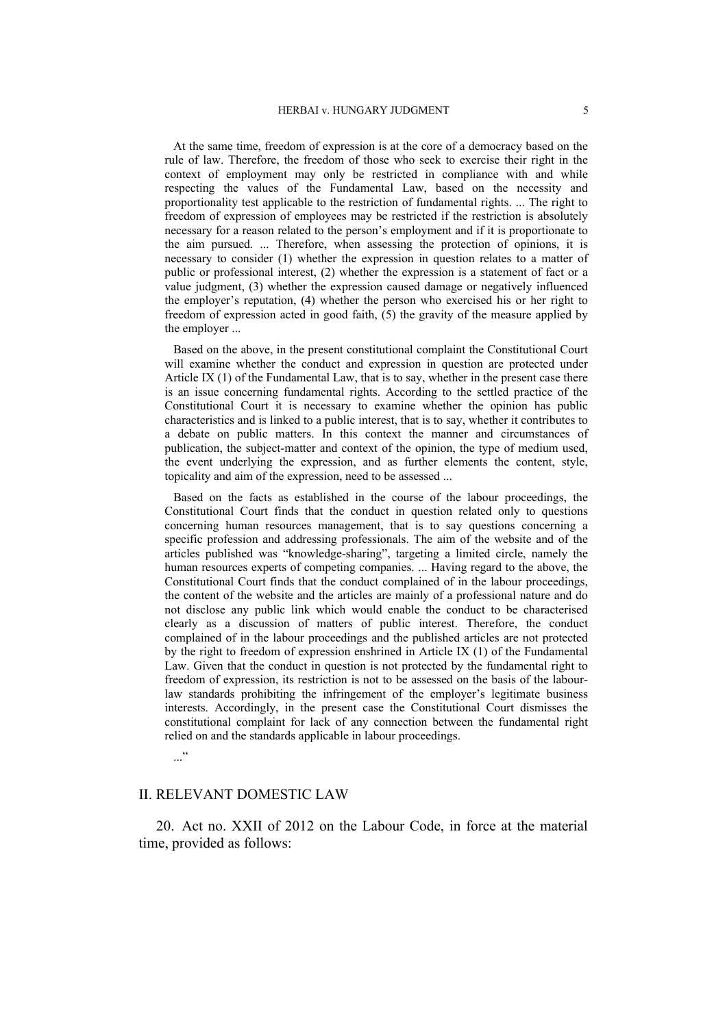At the same time, freedom of expression is at the core of a democracy based on the rule of law. Therefore, the freedom of those who seek to exercise their right in the context of employment may only be restricted in compliance with and while respecting the values of the Fundamental Law, based on the necessity and proportionality test applicable to the restriction of fundamental rights. ... The right to freedom of expression of employees may be restricted if the restriction is absolutely necessary for a reason related to the person's employment and if it is proportionate to the aim pursued. ... Therefore, when assessing the protection of opinions, it is necessary to consider (1) whether the expression in question relates to a matter of public or professional interest, (2) whether the expression is a statement of fact or a value judgment, (3) whether the expression caused damage or negatively influenced the employer's reputation, (4) whether the person who exercised his or her right to freedom of expression acted in good faith, (5) the gravity of the measure applied by the employer ...

Based on the above, in the present constitutional complaint the Constitutional Court will examine whether the conduct and expression in question are protected under Article IX (1) of the Fundamental Law, that is to say, whether in the present case there is an issue concerning fundamental rights. According to the settled practice of the Constitutional Court it is necessary to examine whether the opinion has public characteristics and is linked to a public interest, that is to say, whether it contributes to a debate on public matters. In this context the manner and circumstances of publication, the subject-matter and context of the opinion, the type of medium used, the event underlying the expression, and as further elements the content, style, topicality and aim of the expression, need to be assessed ...

Based on the facts as established in the course of the labour proceedings, the Constitutional Court finds that the conduct in question related only to questions concerning human resources management, that is to say questions concerning a specific profession and addressing professionals. The aim of the website and of the articles published was "knowledge-sharing", targeting a limited circle, namely the human resources experts of competing companies. ... Having regard to the above, the Constitutional Court finds that the conduct complained of in the labour proceedings, the content of the website and the articles are mainly of a professional nature and do not disclose any public link which would enable the conduct to be characterised clearly as a discussion of matters of public interest. Therefore, the conduct complained of in the labour proceedings and the published articles are not protected by the right to freedom of expression enshrined in Article IX (1) of the Fundamental Law. Given that the conduct in question is not protected by the fundamental right to freedom of expression, its restriction is not to be assessed on the basis of the labourlaw standards prohibiting the infringement of the employer's legitimate business interests. Accordingly, in the present case the Constitutional Court dismisses the constitutional complaint for lack of any connection between the fundamental right relied on and the standards applicable in labour proceedings.

..."

## II. RELEVANT DOMESTIC LAW

20. Act no. XXII of 2012 on the Labour Code, in force at the material time, provided as follows: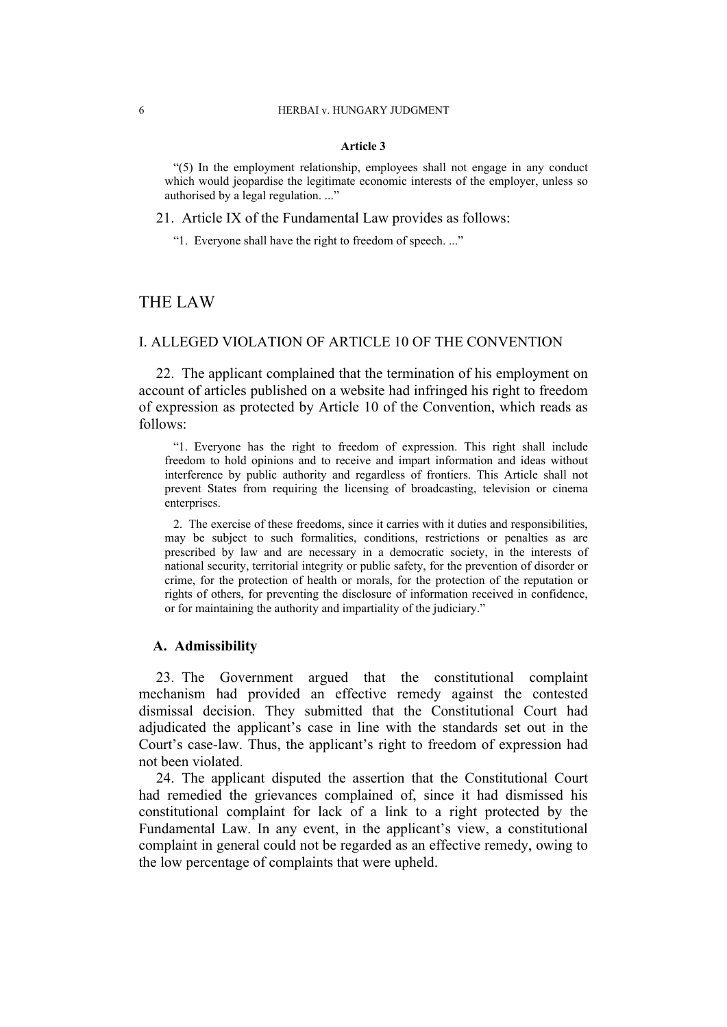#### **Article 3**

"(5) In the employment relationship, employees shall not engage in any conduct which would jeopardise the legitimate economic interests of the employer, unless so authorised by a legal regulation. ..."

21. Article IX of the Fundamental Law provides as follows:

"1. Everyone shall have the right to freedom of speech. ..."

## THE LAW

## I. ALLEGED VIOLATION OF ARTICLE 10 OF THE CONVENTION

22. The applicant complained that the termination of his employment on account of articles published on a website had infringed his right to freedom of expression as protected by Article 10 of the Convention, which reads as follows:

"1. Everyone has the right to freedom of expression. This right shall include freedom to hold opinions and to receive and impart information and ideas without interference by public authority and regardless of frontiers. This Article shall not prevent States from requiring the licensing of broadcasting, television or cinema enterprises.

2. The exercise of these freedoms, since it carries with it duties and responsibilities, may be subject to such formalities, conditions, restrictions or penalties as are prescribed by law and are necessary in a democratic society, in the interests of national security, territorial integrity or public safety, for the prevention of disorder or crime, for the protection of health or morals, for the protection of the reputation or rights of others, for preventing the disclosure of information received in confidence, or for maintaining the authority and impartiality of the judiciary."

## **A. Admissibility**

23. The Government argued that the constitutional complaint mechanism had provided an effective remedy against the contested dismissal decision. They submitted that the Constitutional Court had adjudicated the applicant's case in line with the standards set out in the Court's case-law. Thus, the applicant's right to freedom of expression had not been violated.

24. The applicant disputed the assertion that the Constitutional Court had remedied the grievances complained of, since it had dismissed his constitutional complaint for lack of a link to a right protected by the Fundamental Law. In any event, in the applicant's view, a constitutional complaint in general could not be regarded as an effective remedy, owing to the low percentage of complaints that were upheld.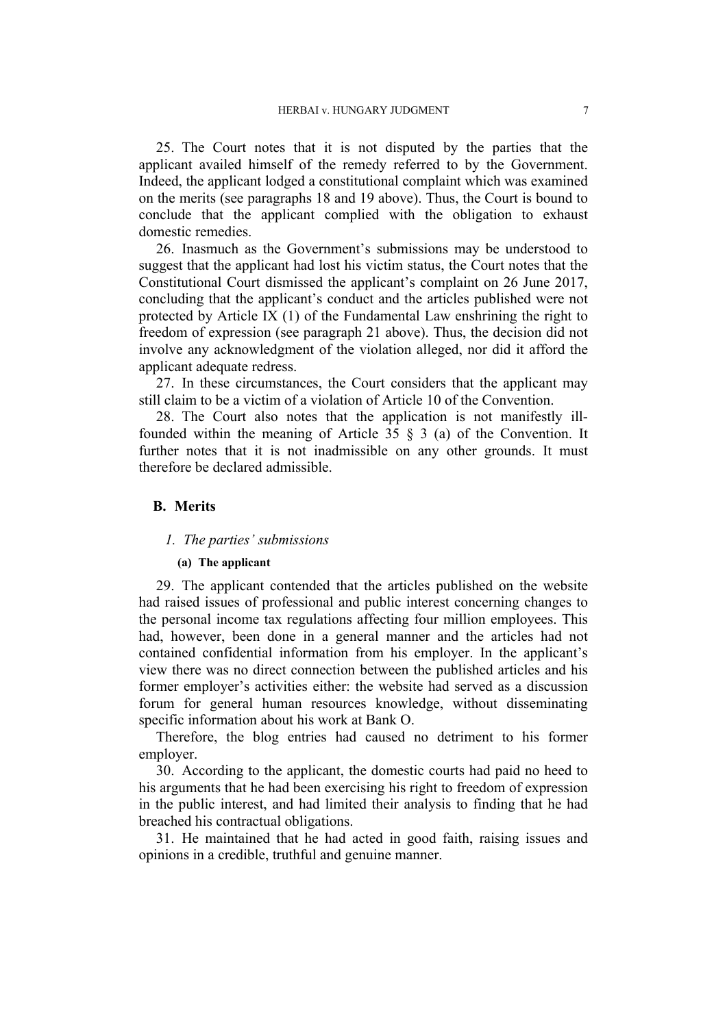25. The Court notes that it is not disputed by the parties that the applicant availed himself of the remedy referred to by the Government. Indeed, the applicant lodged a constitutional complaint which was examined on the merits (see paragraphs 18 and 19 above). Thus, the Court is bound to conclude that the applicant complied with the obligation to exhaust domestic remedies.

26. Inasmuch as the Government's submissions may be understood to suggest that the applicant had lost his victim status, the Court notes that the Constitutional Court dismissed the applicant's complaint on 26 June 2017, concluding that the applicant's conduct and the articles published were not protected by Article IX (1) of the Fundamental Law enshrining the right to freedom of expression (see paragraph 21 above). Thus, the decision did not involve any acknowledgment of the violation alleged, nor did it afford the applicant adequate redress.

27. In these circumstances, the Court considers that the applicant may still claim to be a victim of a violation of Article 10 of the Convention.

28. The Court also notes that the application is not manifestly illfounded within the meaning of Article 35 § 3 (a) of the Convention. It further notes that it is not inadmissible on any other grounds. It must therefore be declared admissible.

## **B. Merits**

#### *1. The parties' submissions*

#### **(a) The applicant**

29. The applicant contended that the articles published on the website had raised issues of professional and public interest concerning changes to the personal income tax regulations affecting four million employees. This had, however, been done in a general manner and the articles had not contained confidential information from his employer. In the applicant's view there was no direct connection between the published articles and his former employer's activities either: the website had served as a discussion forum for general human resources knowledge, without disseminating specific information about his work at Bank O.

Therefore, the blog entries had caused no detriment to his former employer.

30. According to the applicant, the domestic courts had paid no heed to his arguments that he had been exercising his right to freedom of expression in the public interest, and had limited their analysis to finding that he had breached his contractual obligations.

31. He maintained that he had acted in good faith, raising issues and opinions in a credible, truthful and genuine manner.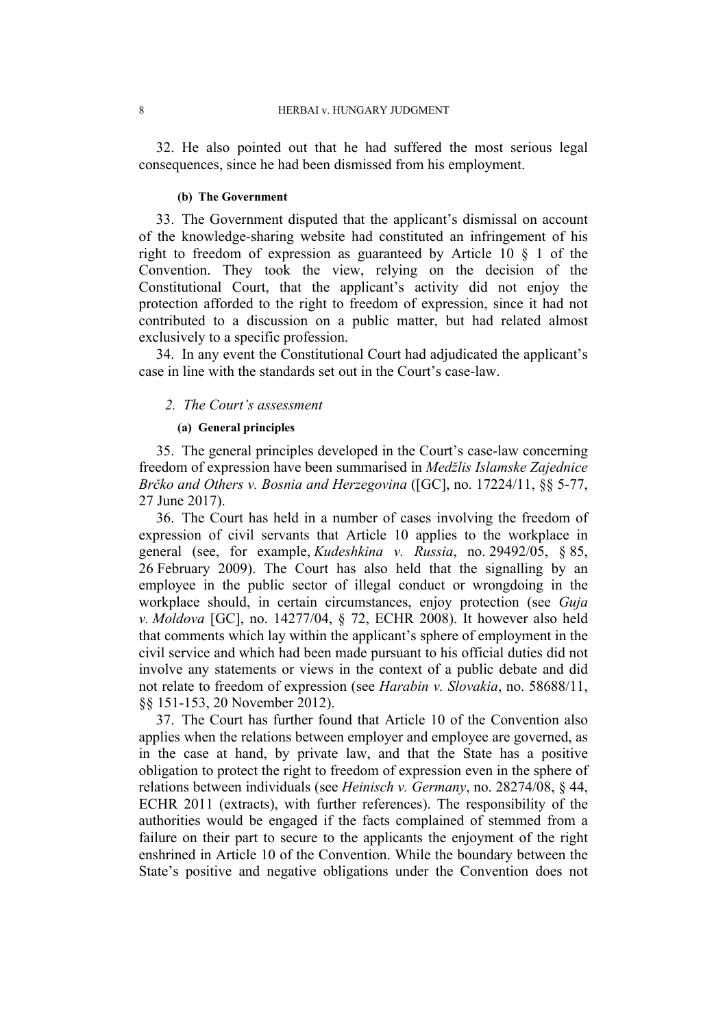32. He also pointed out that he had suffered the most serious legal consequences, since he had been dismissed from his employment.

#### **(b) The Government**

33. The Government disputed that the applicant's dismissal on account of the knowledge-sharing website had constituted an infringement of his right to freedom of expression as guaranteed by Article 10 § 1 of the Convention. They took the view, relying on the decision of the Constitutional Court, that the applicant's activity did not enjoy the protection afforded to the right to freedom of expression, since it had not contributed to a discussion on a public matter, but had related almost exclusively to a specific profession.

34. In any event the Constitutional Court had adjudicated the applicant's case in line with the standards set out in the Court's case-law.

#### *2. The Court's assessment*

#### **(a) General principles**

35. The general principles developed in the Court's case-law concerning freedom of expression have been summarised in *Medžlis Islamske Zajednice Brčko and Others v. Bosnia and Herzegovina* ([GC], no. 17224/11, §§ 5-77, 27 June 2017).

36. The Court has held in a number of cases involving the freedom of expression of civil servants that Article 10 applies to the workplace in general (see, for example, *Kudeshkina v. Russia*, no. 29492/05, § 85, 26 February 2009). The Court has also held that the signalling by an employee in the public sector of illegal conduct or wrongdoing in the workplace should, in certain circumstances, enjoy protection (see *Guja v. Moldova* [GC], no. 14277/04, § 72, ECHR 2008). It however also held that comments which lay within the applicant's sphere of employment in the civil service and which had been made pursuant to his official duties did not involve any statements or views in the context of a public debate and did not relate to freedom of expression (see *Harabin v. Slovakia*, no. 58688/11, §§ 151-153, 20 November 2012).

37. The Court has further found that Article 10 of the Convention also applies when the relations between employer and employee are governed, as in the case at hand, by private law, and that the State has a positive obligation to protect the right to freedom of expression even in the sphere of relations between individuals (see *Heinisch v. Germany*, no. 28274/08, § 44, ECHR 2011 (extracts), with further references). The responsibility of the authorities would be engaged if the facts complained of stemmed from a failure on their part to secure to the applicants the enjoyment of the right enshrined in Article 10 of the Convention. While the boundary between the State's positive and negative obligations under the Convention does not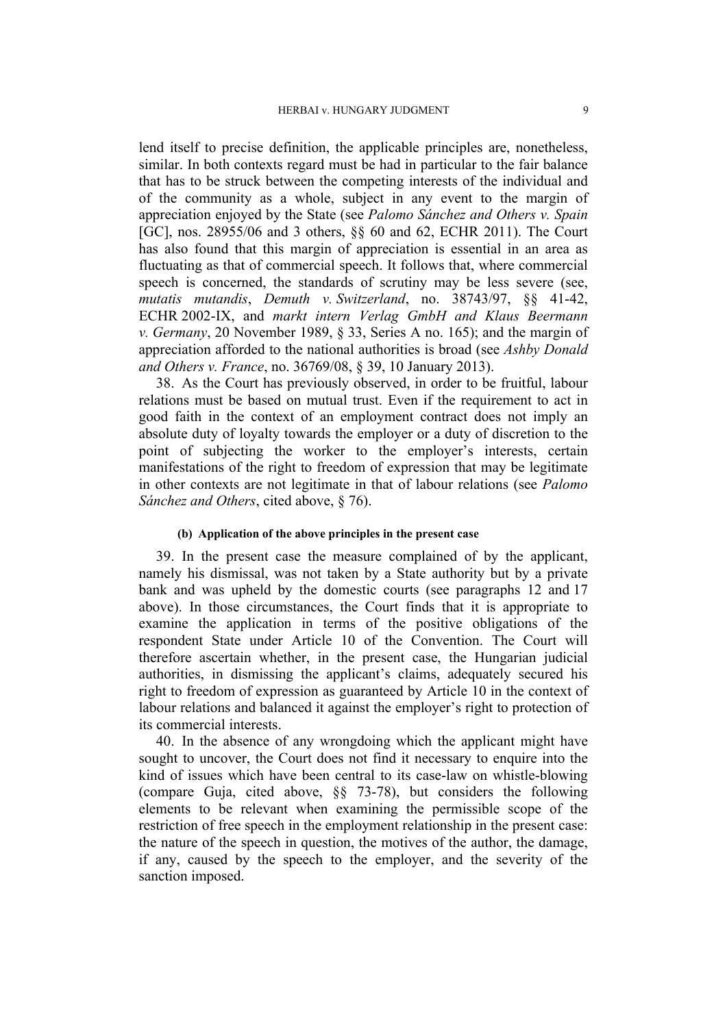lend itself to precise definition, the applicable principles are, nonetheless, similar. In both contexts regard must be had in particular to the fair balance that has to be struck between the competing interests of the individual and of the community as a whole, subject in any event to the margin of appreciation enjoyed by the State (see *Palomo Sánchez and Others v. Spain* [GC], nos. 28955/06 and 3 others, §§ 60 and 62, ECHR 2011). The Court has also found that this margin of appreciation is essential in an area as fluctuating as that of commercial speech. It follows that, where commercial speech is concerned, the standards of scrutiny may be less severe (see, *mutatis mutandis*, *Demuth v. Switzerland*, no. 38743/97, §§ 41-42, ECHR 2002-IX, and *markt intern Verlag GmbH and Klaus Beermann v. Germany*, 20 November 1989, § 33, Series A no. 165); and the margin of appreciation afforded to the national authorities is broad (see *Ashby Donald and Others v. France*, no. 36769/08, § 39, 10 January 2013).

38. As the Court has previously observed, in order to be fruitful, labour relations must be based on mutual trust. Even if the requirement to act in good faith in the context of an employment contract does not imply an absolute duty of loyalty towards the employer or a duty of discretion to the point of subjecting the worker to the employer's interests, certain manifestations of the right to freedom of expression that may be legitimate in other contexts are not legitimate in that of labour relations (see *Palomo Sánchez and Others*, cited above, § 76).

#### **(b) Application of the above principles in the present case**

39. In the present case the measure complained of by the applicant, namely his dismissal, was not taken by a State authority but by a private bank and was upheld by the domestic courts (see paragraphs 12 and 17 above). In those circumstances, the Court finds that it is appropriate to examine the application in terms of the positive obligations of the respondent State under Article 10 of the Convention. The Court will therefore ascertain whether, in the present case, the Hungarian judicial authorities, in dismissing the applicant's claims, adequately secured his right to freedom of expression as guaranteed by Article 10 in the context of labour relations and balanced it against the employer's right to protection of its commercial interests.

40. In the absence of any wrongdoing which the applicant might have sought to uncover, the Court does not find it necessary to enquire into the kind of issues which have been central to its case-law on whistle-blowing (compare Guja, cited above, §§ 73-78), but considers the following elements to be relevant when examining the permissible scope of the restriction of free speech in the employment relationship in the present case: the nature of the speech in question, the motives of the author, the damage, if any, caused by the speech to the employer, and the severity of the sanction imposed.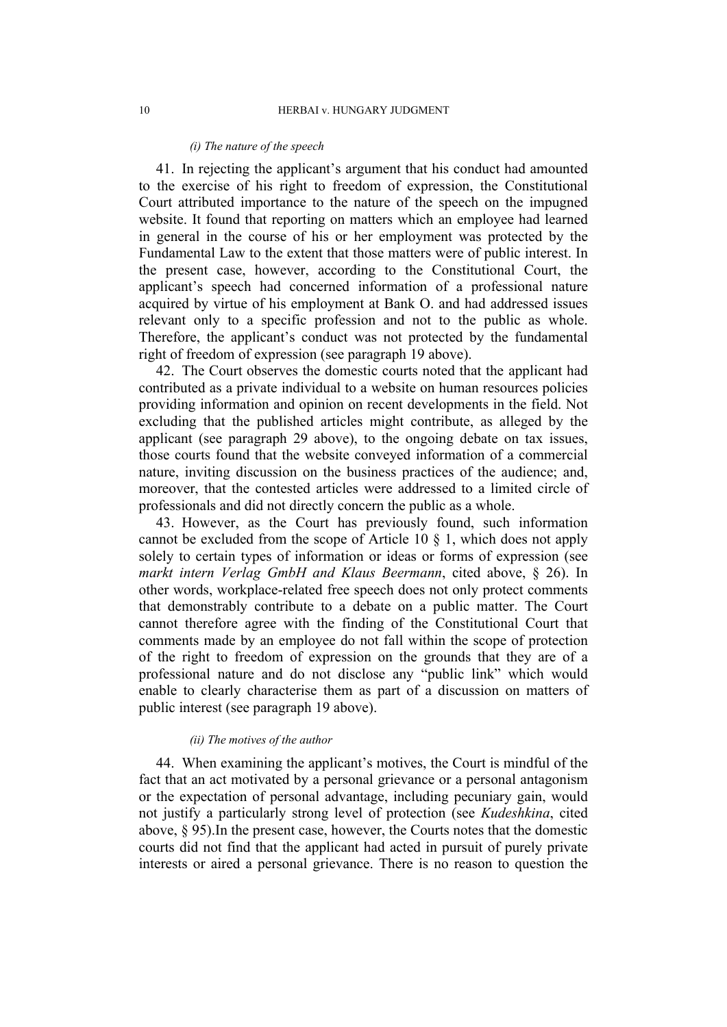#### *(i) The nature of the speech*

41. In rejecting the applicant's argument that his conduct had amounted to the exercise of his right to freedom of expression, the Constitutional Court attributed importance to the nature of the speech on the impugned website. It found that reporting on matters which an employee had learned in general in the course of his or her employment was protected by the Fundamental Law to the extent that those matters were of public interest. In the present case, however, according to the Constitutional Court, the applicant's speech had concerned information of a professional nature acquired by virtue of his employment at Bank O. and had addressed issues relevant only to a specific profession and not to the public as whole. Therefore, the applicant's conduct was not protected by the fundamental right of freedom of expression (see paragraph 19 above).

42. The Court observes the domestic courts noted that the applicant had contributed as a private individual to a website on human resources policies providing information and opinion on recent developments in the field. Not excluding that the published articles might contribute, as alleged by the applicant (see paragraph 29 above), to the ongoing debate on tax issues, those courts found that the website conveyed information of a commercial nature, inviting discussion on the business practices of the audience; and, moreover, that the contested articles were addressed to a limited circle of professionals and did not directly concern the public as a whole.

43. However, as the Court has previously found, such information cannot be excluded from the scope of Article 10 § 1, which does not apply solely to certain types of information or ideas or forms of expression (see *markt intern Verlag GmbH and Klaus Beermann*, cited above, § 26). In other words, workplace-related free speech does not only protect comments that demonstrably contribute to a debate on a public matter. The Court cannot therefore agree with the finding of the Constitutional Court that comments made by an employee do not fall within the scope of protection of the right to freedom of expression on the grounds that they are of a professional nature and do not disclose any "public link" which would enable to clearly characterise them as part of a discussion on matters of public interest (see paragraph 19 above).

## *(ii) The motives of the author*

44. When examining the applicant's motives, the Court is mindful of the fact that an act motivated by a personal grievance or a personal antagonism or the expectation of personal advantage, including pecuniary gain, would not justify a particularly strong level of protection (see *Kudeshkina*, cited above, § 95).In the present case, however, the Courts notes that the domestic courts did not find that the applicant had acted in pursuit of purely private interests or aired a personal grievance. There is no reason to question the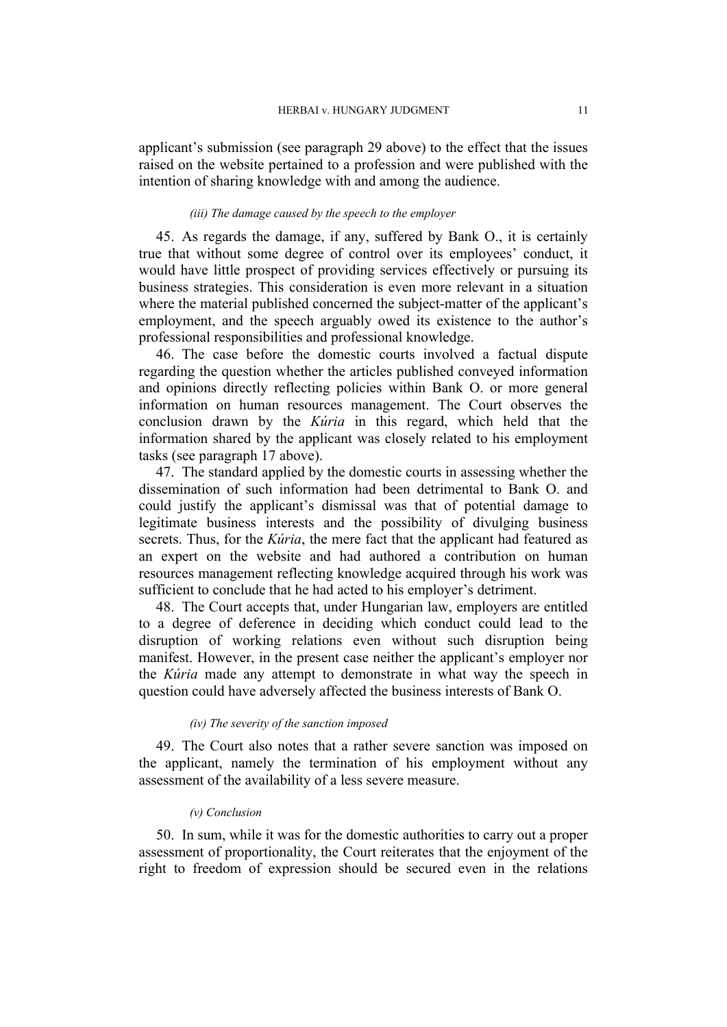applicant's submission (see paragraph 29 above) to the effect that the issues raised on the website pertained to a profession and were published with the intention of sharing knowledge with and among the audience.

## *(iii) The damage caused by the speech to the employer*

45. As regards the damage, if any, suffered by Bank O., it is certainly true that without some degree of control over its employees' conduct, it would have little prospect of providing services effectively or pursuing its business strategies. This consideration is even more relevant in a situation where the material published concerned the subject-matter of the applicant's employment, and the speech arguably owed its existence to the author's professional responsibilities and professional knowledge.

46. The case before the domestic courts involved a factual dispute regarding the question whether the articles published conveyed information and opinions directly reflecting policies within Bank O. or more general information on human resources management. The Court observes the conclusion drawn by the *Kúria* in this regard, which held that the information shared by the applicant was closely related to his employment tasks (see paragraph 17 above).

47. The standard applied by the domestic courts in assessing whether the dissemination of such information had been detrimental to Bank O. and could justify the applicant's dismissal was that of potential damage to legitimate business interests and the possibility of divulging business secrets. Thus, for the *Kúria*, the mere fact that the applicant had featured as an expert on the website and had authored a contribution on human resources management reflecting knowledge acquired through his work was sufficient to conclude that he had acted to his employer's detriment.

48. The Court accepts that, under Hungarian law, employers are entitled to a degree of deference in deciding which conduct could lead to the disruption of working relations even without such disruption being manifest. However, in the present case neither the applicant's employer nor the *Kúria* made any attempt to demonstrate in what way the speech in question could have adversely affected the business interests of Bank O.

#### *(iv) The severity of the sanction imposed*

49. The Court also notes that a rather severe sanction was imposed on the applicant, namely the termination of his employment without any assessment of the availability of a less severe measure.

## *(v) Conclusion*

50. In sum, while it was for the domestic authorities to carry out a proper assessment of proportionality, the Court reiterates that the enjoyment of the right to freedom of expression should be secured even in the relations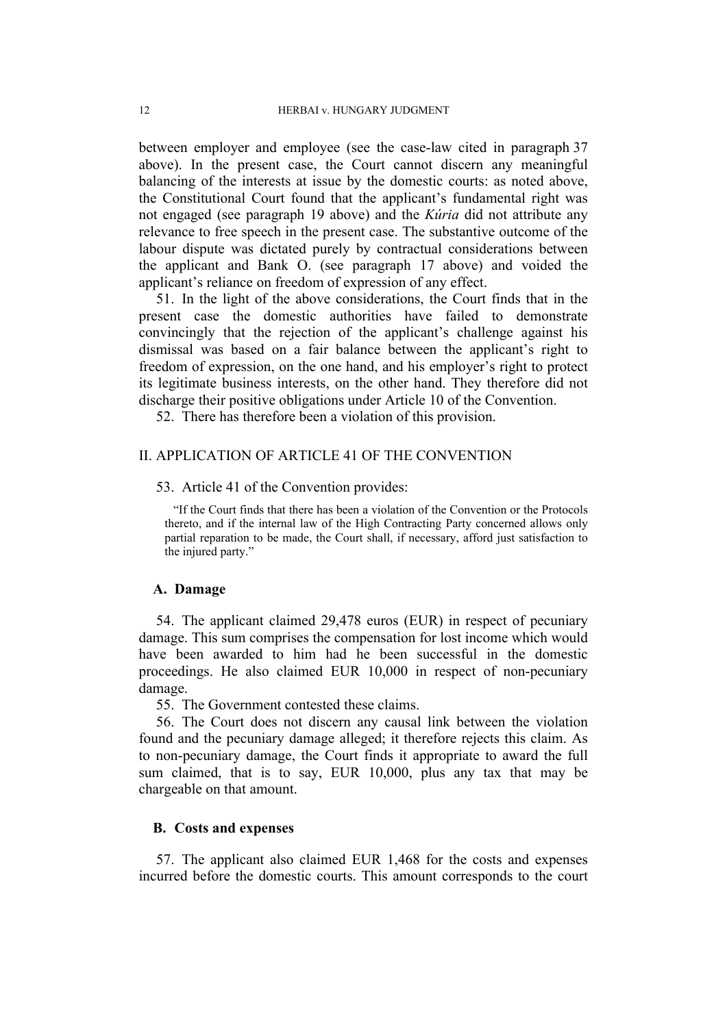between employer and employee (see the case-law cited in paragraph 37 above). In the present case, the Court cannot discern any meaningful balancing of the interests at issue by the domestic courts: as noted above, the Constitutional Court found that the applicant's fundamental right was not engaged (see paragraph 19 above) and the *Kúria* did not attribute any relevance to free speech in the present case. The substantive outcome of the labour dispute was dictated purely by contractual considerations between the applicant and Bank O. (see paragraph 17 above) and voided the applicant's reliance on freedom of expression of any effect.

51. In the light of the above considerations, the Court finds that in the present case the domestic authorities have failed to demonstrate convincingly that the rejection of the applicant's challenge against his dismissal was based on a fair balance between the applicant's right to freedom of expression, on the one hand, and his employer's right to protect its legitimate business interests, on the other hand. They therefore did not discharge their positive obligations under Article 10 of the Convention.

52. There has therefore been a violation of this provision.

## II. APPLICATION OF ARTICLE 41 OF THE CONVENTION

## 53. Article 41 of the Convention provides:

"If the Court finds that there has been a violation of the Convention or the Protocols thereto, and if the internal law of the High Contracting Party concerned allows only partial reparation to be made, the Court shall, if necessary, afford just satisfaction to the injured party."

#### **A. Damage**

54. The applicant claimed 29,478 euros (EUR) in respect of pecuniary damage. This sum comprises the compensation for lost income which would have been awarded to him had he been successful in the domestic proceedings. He also claimed EUR 10,000 in respect of non-pecuniary damage.

55. The Government contested these claims.

56. The Court does not discern any causal link between the violation found and the pecuniary damage alleged; it therefore rejects this claim. As to non-pecuniary damage, the Court finds it appropriate to award the full sum claimed, that is to say, EUR 10,000, plus any tax that may be chargeable on that amount.

## **B. Costs and expenses**

57. The applicant also claimed EUR 1,468 for the costs and expenses incurred before the domestic courts. This amount corresponds to the court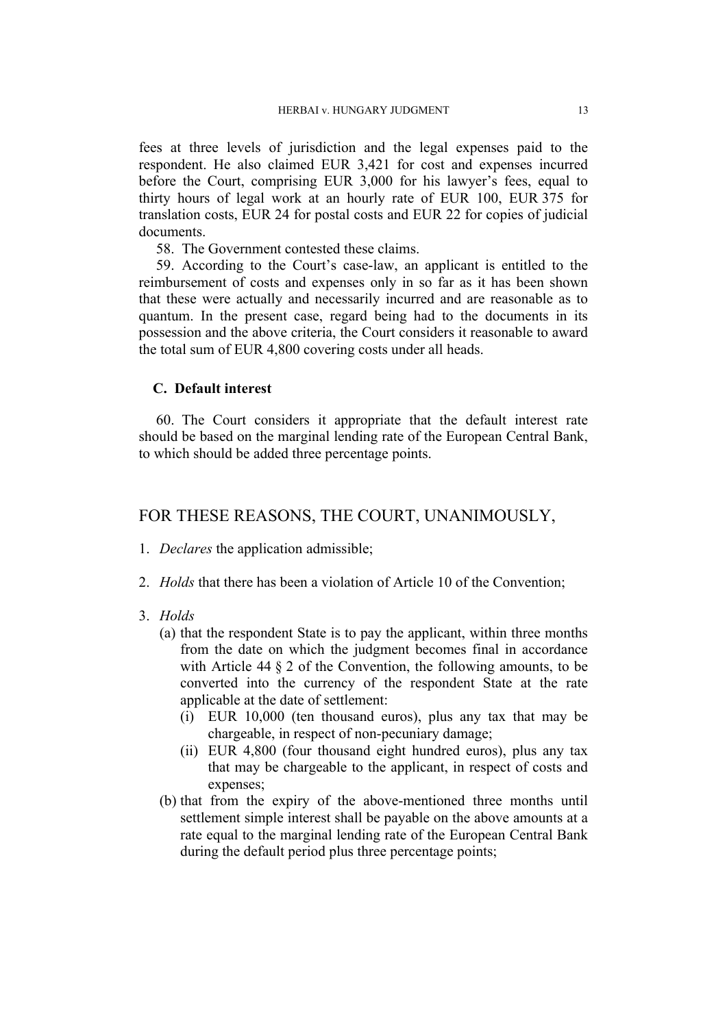fees at three levels of jurisdiction and the legal expenses paid to the respondent. He also claimed EUR 3,421 for cost and expenses incurred before the Court, comprising EUR 3,000 for his lawyer's fees, equal to thirty hours of legal work at an hourly rate of EUR 100, EUR 375 for translation costs, EUR 24 for postal costs and EUR 22 for copies of judicial documents.

58. The Government contested these claims.

59. According to the Court's case-law, an applicant is entitled to the reimbursement of costs and expenses only in so far as it has been shown that these were actually and necessarily incurred and are reasonable as to quantum. In the present case, regard being had to the documents in its possession and the above criteria, the Court considers it reasonable to award the total sum of EUR 4,800 covering costs under all heads.

## **C. Default interest**

60. The Court considers it appropriate that the default interest rate should be based on the marginal lending rate of the European Central Bank, to which should be added three percentage points.

# FOR THESE REASONS, THE COURT, UNANIMOUSLY,

- 1. *Declares* the application admissible;
- 2. *Holds* that there has been a violation of Article 10 of the Convention;
- 3. *Holds*
	- (a) that the respondent State is to pay the applicant, within three months from the date on which the judgment becomes final in accordance with Article 44  $\S$  2 of the Convention, the following amounts, to be converted into the currency of the respondent State at the rate applicable at the date of settlement:
		- (i) EUR 10,000 (ten thousand euros), plus any tax that may be chargeable, in respect of non-pecuniary damage;
		- (ii) EUR 4,800 (four thousand eight hundred euros), plus any tax that may be chargeable to the applicant, in respect of costs and expenses;
	- (b) that from the expiry of the above-mentioned three months until settlement simple interest shall be payable on the above amounts at a rate equal to the marginal lending rate of the European Central Bank during the default period plus three percentage points;